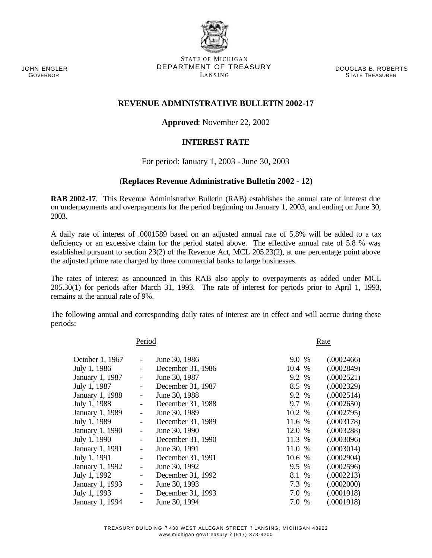JOHN ENGLER GOVERNOR

STATE OF MICHIGAN DEPARTMENT OF TREASURY LANSING

DOUGLAS B. ROBERTS STATE TREASURER

## **REVENUE ADMINISTRATIVE BULLETIN 2002-17**

## **Approved**: November 22, 2002

## **INTEREST RATE**

For period: January 1, 2003 - June 30, 2003

## (**Replaces Revenue Administrative Bulletin 2002 - 12)**

**RAB 2002-17**. This Revenue Administrative Bulletin (RAB) establishes the annual rate of interest due on underpayments and overpayments for the period beginning on January 1, 2003, and ending on June 30, 2003.

A daily rate of interest of .0001589 based on an adjusted annual rate of 5.8% will be added to a tax deficiency or an excessive claim for the period stated above. The effective annual rate of 5.8 % was established pursuant to section 23(2) of the Revenue Act, MCL 205.23(2), at one percentage point above the adjusted prime rate charged by three commercial banks to large businesses.

The rates of interest as announced in this RAB also apply to overpayments as added under MCL 205.30(1) for periods after March 31, 1993. The rate of interest for periods prior to April 1, 1993, remains at the annual rate of 9%.

The following annual and corresponding daily rates of interest are in effect and will accrue during these periods:

| Period            |                          |                   | Rate   |  |            |  |
|-------------------|--------------------------|-------------------|--------|--|------------|--|
| October 1, 1967   |                          | June 30, 1986     | 9.0 %  |  | (.0002466) |  |
| July 1, 1986      |                          | December 31, 1986 | 10.4 % |  | (.0002849) |  |
| January 1, 1987   |                          | June 30, 1987     | 9.2 %  |  | (.0002521) |  |
| July 1, 1987      |                          | December 31, 1987 | 8.5 %  |  | (.0002329) |  |
| January 1, 1988   |                          | June 30, 1988     | 9.2 %  |  | (.0002514) |  |
| July 1, 1988      |                          | December 31, 1988 | 9.7 %  |  | (.0002650) |  |
| January 1, 1989   |                          | June 30, 1989     | 10.2 % |  | (.0002795) |  |
| July 1, 1989      | -                        | December 31, 1989 | 11.6 % |  | (.0003178) |  |
| January 1, 1990   |                          | June 30, 1990     | 12.0 % |  | (.0003288) |  |
| July 1, 1990      |                          | December 31, 1990 | 11.3 % |  | (.0003096) |  |
| January 1, 1991   |                          | June 30, 1991     | 11.0 % |  | (.0003014) |  |
| July 1, 1991      | $\overline{\phantom{a}}$ | December 31, 1991 | 10.6 % |  | (.0002904) |  |
| January 1, 1992   | $\overline{\phantom{a}}$ | June 30, 1992     | 9.5 %  |  | (.0002596) |  |
| July 1, 1992      |                          | December 31, 1992 | 8.1 %  |  | (.0002213) |  |
| January 1, 1993   |                          | June 30, 1993     | 7.3 %  |  | (.0002000) |  |
| July 1, 1993      |                          | December 31, 1993 | 7.0 %  |  | (.0001918) |  |
| $I$ anuary 1 1994 |                          | Iune $30.1994$    | 70 %   |  | (0001918)  |  |